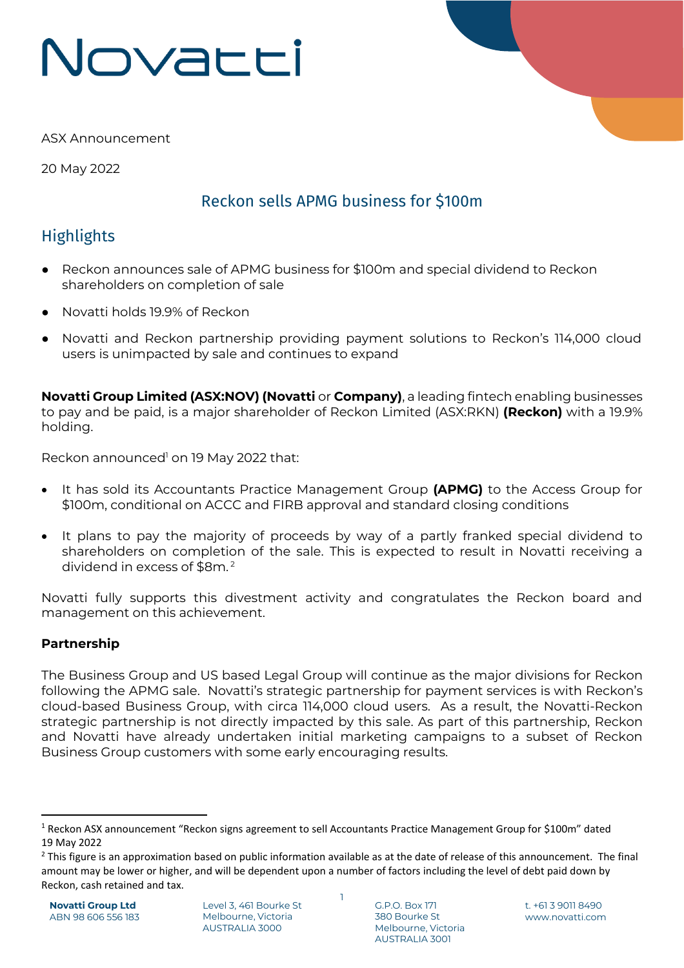# Novacci



ASX Announcement

20 May 2022

## Reckon sells APMG business for \$100m

## **Highlights**

- Reckon announces sale of APMG business for \$100m and special dividend to Reckon shareholders on completion of sale
- Novatti holds 19.9% of Reckon
- Novatti and Reckon partnership providing payment solutions to Reckon's 114,000 cloud users is unimpacted by sale and continues to expand

**Novatti Group Limited (ASX:NOV) (Novatti** or **Company)**, a leading fintech enabling businesses to pay and be paid, is a major shareholder of Reckon Limited (ASX:RKN) **(Reckon)** with a 19.9% holding.

Reckon announced <sup>1</sup> on 19 May 2022 that:

- It has sold its Accountants Practice Management Group **(APMG)** to the Access Group for \$100m, conditional on ACCC and FIRB approval and standard closing conditions
- It plans to pay the majority of proceeds by way of a partly franked special dividend to shareholders on completion of the sale. This is expected to result in Novatti receiving a dividend in excess of \$8m. 2

Novatti fully supports this divestment activity and congratulates the Reckon board and management on this achievement.

### **Partnership**

The Business Group and US based Legal Group will continue as the major divisions for Reckon following the APMG sale. Novatti's strategic partnership for payment services is with Reckon's cloud-based Business Group, with circa 114,000 cloud users. As a result, the Novatti-Reckon strategic partnership is not directly impacted by this sale. As part of this partnership, Reckon and Novatti have already undertaken initial marketing campaigns to a subset of Reckon Business Group customers with some early encouraging results.

1

<sup>1</sup> Reckon ASX announcement "Reckon signs agreement to sell Accountants Practice Management Group for \$100m" dated 19 May 2022

<sup>&</sup>lt;sup>2</sup> This figure is an approximation based on public information available as at the date of release of this announcement. The final amount may be lower or higher, and will be dependent upon a number of factors including the level of debt paid down by Reckon, cash retained and tax.